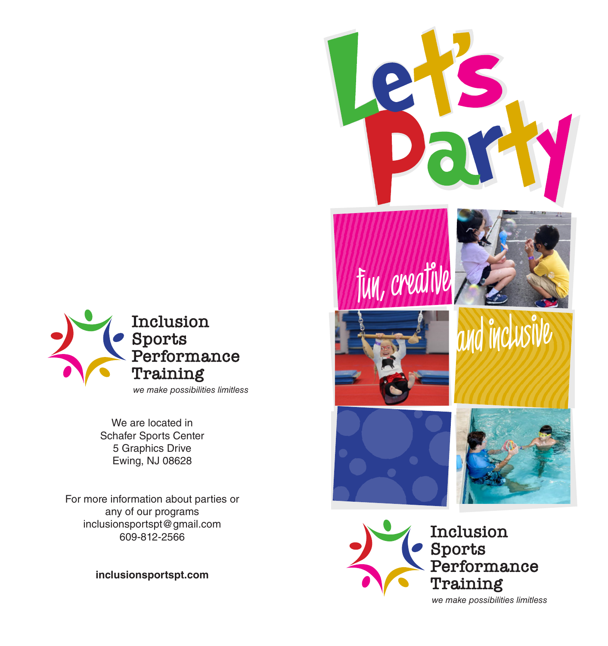

We are located in Schafer Sports Center 5 Graphics Drive Ewing, NJ 08628

For more information about parties or any of our programs inclusionsportspt@gmail.com 609-812-2566

**inclusionsportspt.com**



*we make possibilities limitless*